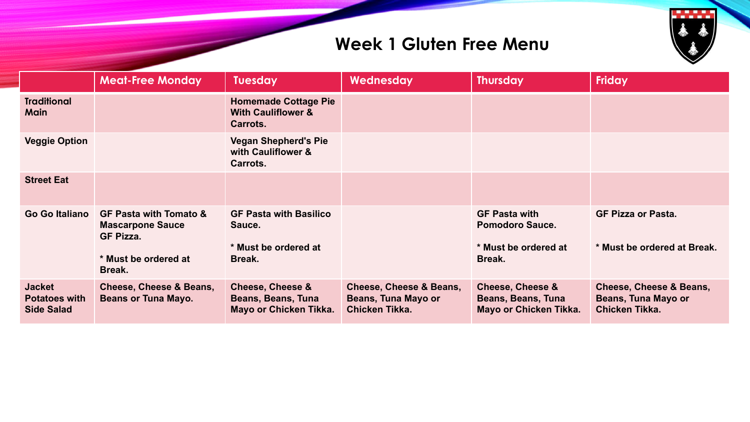

## **Week 1 Gluten Free Menu**

|                                                            | <b>Meat-Free Monday</b>                                                                                            | <b>Tuesday</b>                                                                     | Wednesday                                                                          | <b>Thursday</b>                                                                  | <b>Friday</b>                                                                      |
|------------------------------------------------------------|--------------------------------------------------------------------------------------------------------------------|------------------------------------------------------------------------------------|------------------------------------------------------------------------------------|----------------------------------------------------------------------------------|------------------------------------------------------------------------------------|
| <b>Traditional</b><br><b>Main</b>                          |                                                                                                                    | <b>Homemade Cottage Pie</b><br><b>With Cauliflower &amp;</b><br>Carrots.           |                                                                                    |                                                                                  |                                                                                    |
| <b>Veggie Option</b>                                       |                                                                                                                    | <b>Vegan Shepherd's Pie</b><br>with Cauliflower &<br>Carrots.                      |                                                                                    |                                                                                  |                                                                                    |
| <b>Street Eat</b>                                          |                                                                                                                    |                                                                                    |                                                                                    |                                                                                  |                                                                                    |
| <b>Go Go Italiano</b>                                      | <b>GF Pasta with Tomato &amp;</b><br><b>Mascarpone Sauce</b><br><b>GF Pizza.</b><br>* Must be ordered at<br>Break. | <b>GF Pasta with Basilico</b><br>Sauce.<br>* Must be ordered at<br>Break.          |                                                                                    | <b>GF Pasta with</b><br><b>Pomodoro Sauce.</b><br>* Must be ordered at<br>Break. | <b>GF Pizza or Pasta.</b><br>* Must be ordered at Break.                           |
| <b>Jacket</b><br><b>Potatoes with</b><br><b>Side Salad</b> | <b>Cheese, Cheese &amp; Beans,</b><br><b>Beans or Tuna Mayo.</b>                                                   | <b>Cheese, Cheese &amp;</b><br><b>Beans, Beans, Tuna</b><br>Mayo or Chicken Tikka. | <b>Cheese, Cheese &amp; Beans,</b><br><b>Beans, Tuna Mayo or</b><br>Chicken Tikka. | <b>Cheese, Cheese &amp;</b><br>Beans, Beans, Tuna<br>Mayo or Chicken Tikka.      | <b>Cheese, Cheese &amp; Beans,</b><br><b>Beans, Tuna Mayo or</b><br>Chicken Tikka. |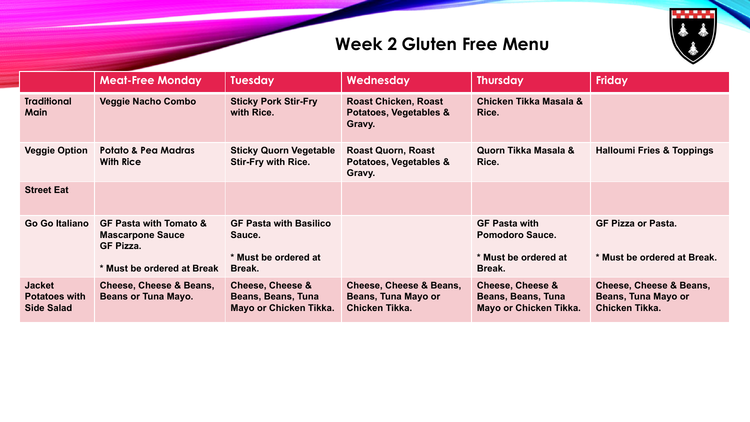

## **Week 2 Gluten Free Menu**

|                                                            | <b>Meat-Free Monday</b>                                                          | <b>Tuesday</b>                                                                     | Wednesday                                                                          | <b>Thursday</b>                                                                    | <b>Friday</b>                                                               |
|------------------------------------------------------------|----------------------------------------------------------------------------------|------------------------------------------------------------------------------------|------------------------------------------------------------------------------------|------------------------------------------------------------------------------------|-----------------------------------------------------------------------------|
| <b>Traditional</b><br><b>Main</b>                          | <b>Veggie Nacho Combo</b>                                                        | <b>Sticky Pork Stir-Fry</b><br>with Rice.                                          | <b>Roast Chicken, Roast</b><br>Potatoes, Vegetables &<br>Gravy.                    | Chicken Tikka Masala &<br>Rice.                                                    |                                                                             |
| <b>Veggie Option</b>                                       | <b>Potato &amp; Pea Madras</b><br><b>With Rice</b>                               | <b>Sticky Quorn Vegetable</b><br><b>Stir-Fry with Rice.</b>                        | <b>Roast Quorn, Roast</b><br>Potatoes, Vegetables &<br>Gravy.                      | Quorn Tikka Masala &<br>Rice.                                                      | <b>Halloumi Fries &amp; Toppings</b>                                        |
| <b>Street Eat</b>                                          |                                                                                  |                                                                                    |                                                                                    |                                                                                    |                                                                             |
| Go Go Italiano                                             | <b>GF Pasta with Tomato &amp;</b><br><b>Mascarpone Sauce</b><br><b>GF Pizza.</b> | <b>GF Pasta with Basilico</b><br>Sauce.                                            |                                                                                    | <b>GF Pasta with</b><br><b>Pomodoro Sauce.</b>                                     | <b>GF Pizza or Pasta.</b>                                                   |
|                                                            | * Must be ordered at Break                                                       | * Must be ordered at<br>Break.                                                     |                                                                                    | * Must be ordered at<br>Break.                                                     | * Must be ordered at Break.                                                 |
| <b>Jacket</b><br><b>Potatoes with</b><br><b>Side Salad</b> | Cheese, Cheese & Beans,<br><b>Beans or Tuna Mayo.</b>                            | <b>Cheese, Cheese &amp;</b><br><b>Beans, Beans, Tuna</b><br>Mayo or Chicken Tikka. | <b>Cheese, Cheese &amp; Beans,</b><br><b>Beans, Tuna Mayo or</b><br>Chicken Tikka. | <b>Cheese, Cheese &amp;</b><br><b>Beans, Beans, Tuna</b><br>Mayo or Chicken Tikka. | <b>Cheese, Cheese &amp; Beans,</b><br>Beans, Tuna Mayo or<br>Chicken Tikka. |